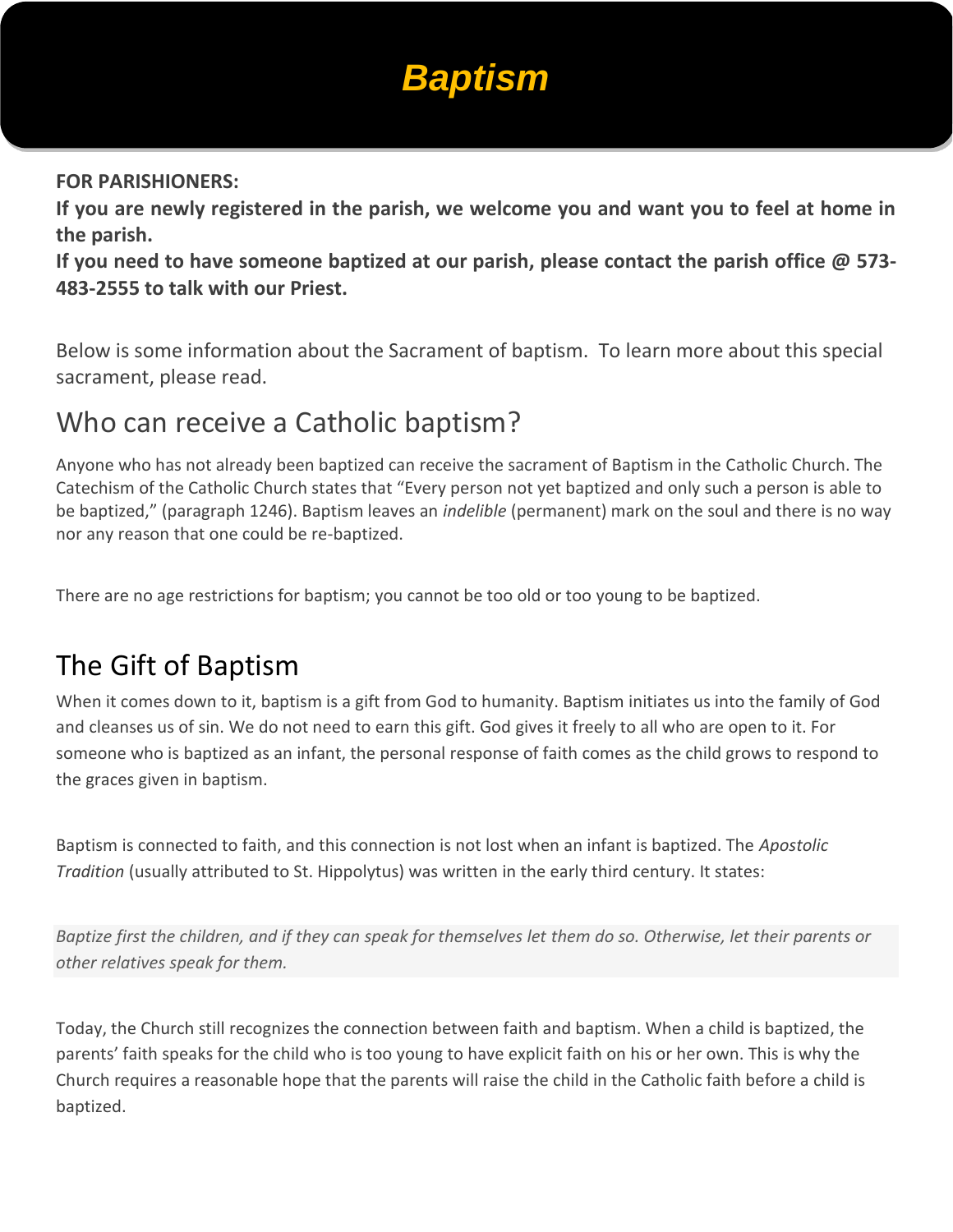# *Baptism*

#### **FOR PARISHIONERS:**

**If you are newly registered in the parish, we welcome you and want you to feel at home in the parish.**

**If you need to have someone baptized at our parish, please contact the parish office @ 573- 483-2555 to talk with our Priest.**

Below is some information about the Sacrament of baptism. To learn more about this special sacrament, please read.

#### Who can receive a Catholic baptism?

Anyone who has not already been baptized can receive the sacrament of Baptism in the Catholic Church. The Catechism of the Catholic Church states that "Every person not yet baptized and only such a person is able to be baptized," (paragraph 1246). Baptism leaves an *indelible* (permanent) mark on the soul and there is no way nor any reason that one could be re-baptized.

There are no age restrictions for baptism; you cannot be too old or too young to be baptized.

# The Gift of Baptism

When it comes down to it, baptism is a gift from God to humanity. Baptism initiates us into the family of God and cleanses us of sin. We do not need to earn this gift. God gives it freely to all who are open to it. For someone who is baptized as an infant, the personal response of faith comes as the child grows to respond to the graces given in baptism.

Baptism is connected to faith, and this connection is not lost when an infant is baptized. The *Apostolic Tradition* (usually attributed to St. Hippolytus) was written in the early third century. It states:

*Baptize first the children, and if they can speak for themselves let them do so. Otherwise, let their parents or other relatives speak for them.*

Today, the Church still recognizes the connection between faith and baptism. When a child is baptized, the parents' faith speaks for the child who is too young to have explicit faith on his or her own. This is why the Church requires a reasonable hope that the parents will raise the child in the Catholic faith before a child is baptized.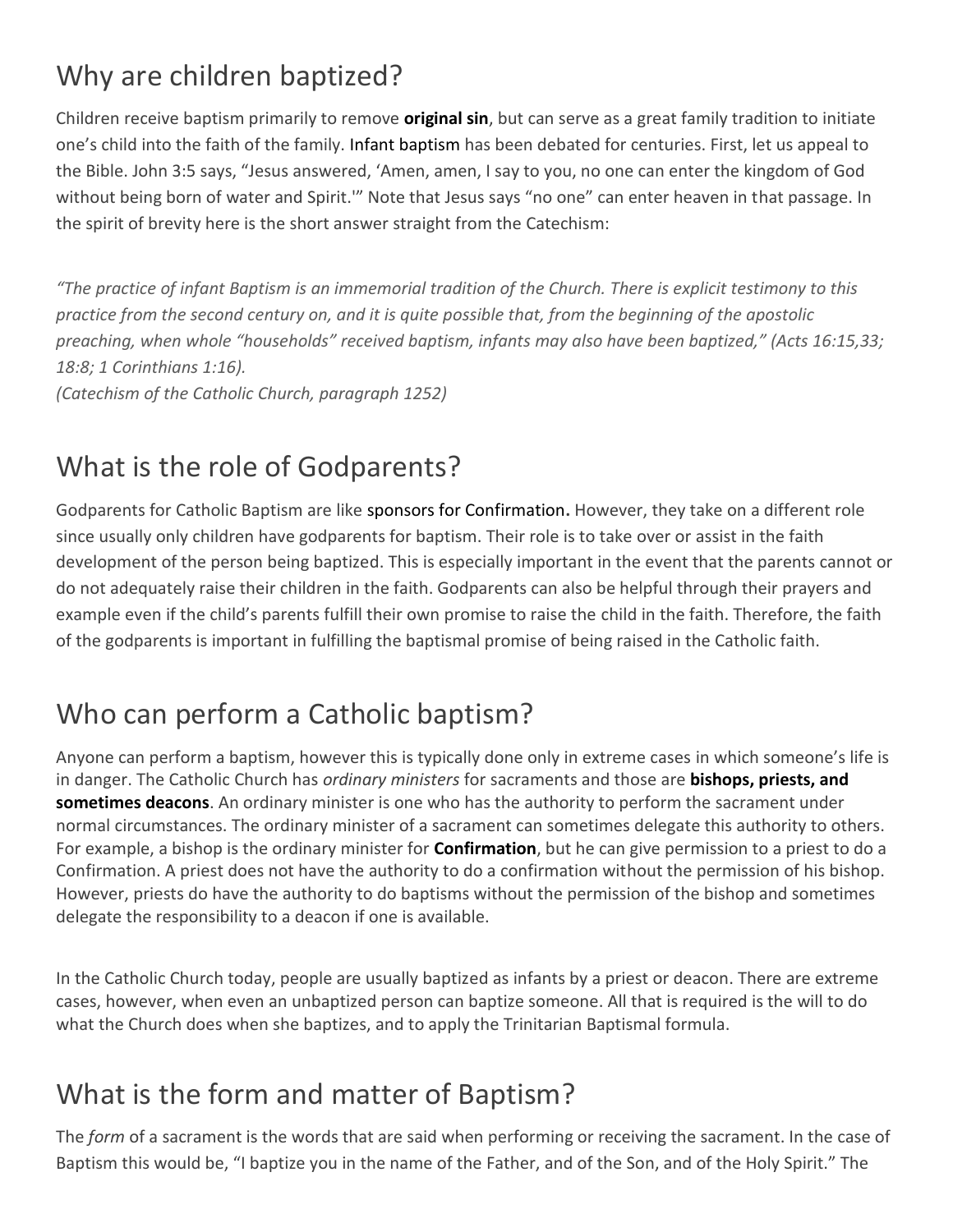# Why are children baptized?

Children receive baptism primarily to remove **[original sin](http://www.aboutcatholics.com/beliefs/the-original-sin/)**, but can serve as a great family tradition to initiate one's child into the faith of the family. [Infant baptism](http://www.aboutcatholics.com/beliefs/a-simple-defense-of-infant-baptism/) has been debated for centuries. First, let us appeal to the Bible. John 3:5 says, "Jesus answered, 'Amen, amen, I say to you, no one can enter the kingdom of God without being born of water and Spirit.'" Note that Jesus says "no one" can enter heaven in that passage. In the spirit of brevity here is the short answer straight from the Catechism:

*"The practice of infant Baptism is an immemorial tradition of the Church. There is explicit testimony to this practice from the second century on, and it is quite possible that, from the beginning of the apostolic preaching, when whole "households" received baptism, infants may also have been baptized," (Acts 16:15,33; 18:8; 1 Corinthians 1:16).*

*(Catechism of the Catholic Church, paragraph 1252)*

### What is the role of Godparents?

Godparents for Catholic Baptism are lik[e sponsors for Confirmation](http://www.aboutcatholics.com/beliefs/catholic-confirmation-explained/)**.** However, they take on a different role since usually only children have godparents for baptism. Their role is to take over or assist in the faith development of the person being baptized. This is especially important in the event that the parents cannot or do not adequately raise their children in the faith. Godparents can also be helpful through their prayers and example even if the child's parents fulfill their own promise to raise the child in the faith. Therefore, the faith of the godparents is important in fulfilling the baptismal promise of being raised in the Catholic faith.

# Who can perform a Catholic baptism?

Anyone can perform a baptism, however this is typically done only in extreme cases in which someone's life is in danger. The Catholic Church has *ordinary ministers* for sacraments and those are **[bishops, priests, and](http://www.aboutcatholics.com/beliefs/bishops-priests-and-deacons/)  [sometimes deacons](http://www.aboutcatholics.com/beliefs/bishops-priests-and-deacons/)**. An ordinary minister is one who has the authority to perform the sacrament under normal circumstances. The ordinary minister of a sacrament can sometimes delegate this authority to others. For example, a bishop is the ordinary minister for **[Confirmation](http://www.aboutcatholics.com/beliefs/catholic-confirmation-explained/)**, but he can give permission to a priest to do a Confirmation. A priest does not have the authority to do a confirmation without the permission of his bishop. However, priests do have the authority to do baptisms without the permission of the bishop and sometimes delegate the responsibility to a deacon if one is available.

In the Catholic Church today, people are usually baptized as infants by a priest or deacon. There are extreme cases, however, when even an unbaptized person can baptize someone. All that is required is the will to do what the Church does when she baptizes, and to apply the Trinitarian Baptismal formula.

# What is the form and matter of Baptism?

The *form* of a sacrament is the words that are said when performing or receiving the sacrament. In the case of Baptism this would be, "I baptize you in the name of the Father, and of the Son, and of the Holy Spirit." The